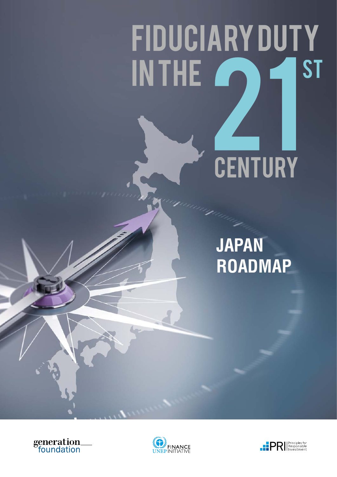# FIDUCIARYDUTY INTHE<sup>2</sup> 21 CENTURY ST

### **JAPAN ROADMAP**





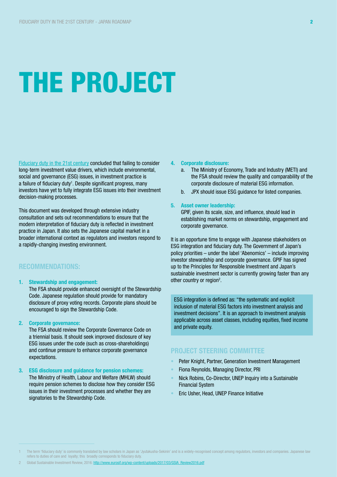## THE PROJECT

[Fiduciary duty in the 21st century](https://www.unpri.org/download_report/6131) concluded that failing to consider long-term investment value drivers, which include environmental, social and governance (ESG) issues, in investment practice is a failure of fiduciary duty<sup>1</sup>. Despite significant progress, many investors have yet to fully integrate ESG issues into their investment decision-making processes.

This document was developed through extensive industry consultation and sets out recommendations to ensure that the modern interpretation of fiduciary duty is reflected in investment practice in Japan. It also sets the Japanese capital market in a broader international context as regulators and investors respond to a rapidly-changing investing environment.

#### RECOMMENDATIONS:

1. Stewardship and engagement:

The FSA should provide enhanced oversight of the Stewardship Code. Japanese regulation should provide for mandatory disclosure of proxy voting records. Corporate plans should be encouraged to sign the Stewardship Code.

#### 2. Corporate governance:

The FSA should review the Corporate Governance Code on a triennial basis. It should seek improved disclosure of key ESG issues under the code (such as cross-shareholdings) and continue pressure to enhance corporate governance expectations.

#### 3. ESG disclosure and guidance for pension schemes:

The Ministry of Health, Labour and Welfare (MHLW) should require pension schemes to disclose how they consider ESG issues in their investment processes and whether they are signatories to the Stewardship Code.

#### 4. Corporate disclosure:

- a. The Ministry of Economy, Trade and Industry (METI) and the FSA should review the quality and comparability of the corporate disclosure of material ESG information.
- b. JPX should issue ESG guidance for listed companies.

#### 5. Asset owner leadership:

GPIF, given its scale, size, and influence, should lead in establishing market norms on stewardship, engagement and corporate governance.

It is an opportune time to engage with Japanese stakeholders on ESG integration and fiduciary duty. The Government of Japan's policy priorities – under the label 'Abenomics' – include improving investor stewardship and corporate governance. GPIF has signed up to the Principles for Responsible Investment and Japan's sustainable investment sector is currently growing faster than any other country or region<sup>2</sup>.

ESG integration is defined as: "the systematic and explicit inclusion of material ESG factors into investment analysis and investment decisions". It is an approach to investment analysis applicable across asset classes, including equities, fixed income and private equity.

#### PROJECT STEERING COMMITTEE

- Peter Knight, Partner, Generation Investment Management
- Fiona Reynolds, Managing Director, PRI
- Nick Robins, Co-Director, UNEP Inquiry into a Sustainable Financial System
- Eric Usher, Head, UNEP Finance Initiative

The term 'fiduciary duty' is commonly translated by law scholars in Japan as 'Jyutakusha-Sekinin' and is a widely-recognised concept among regulators, investors and companies. Japanese law refers to duties of care and loyalty; this broadly corresponds to fiduciary duty.

<sup>2</sup> Global Sustainable Investment Review, 2016: [http://www.eurosif.org/wp-content/uploads/2017/03/GSIA\\_Review2016.pdf](http://www.eurosif.org/wp-content/uploads/2017/03/GSIA_Review2016.pdf)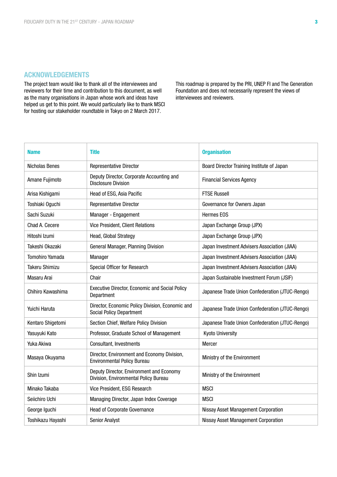#### ACKNOWLEDGEMENTS

The project team would like to thank all of the interviewees and reviewers for their time and contribution to this document, as well as the many organisations in Japan whose work and ideas have helped us get to this point. We would particularly like to thank MSCI for hosting our stakeholder roundtable in Tokyo on 2 March 2017.

This roadmap is prepared by the PRI, UNEP FI and The Generation Foundation and does not necessarily represent the views of interviewees and reviewers.

| <b>Name</b>            | <b>Title</b>                                                                        | <b>Organisation</b>                             |
|------------------------|-------------------------------------------------------------------------------------|-------------------------------------------------|
| Nicholas Benes         | <b>Representative Director</b>                                                      | Board Director Training Institute of Japan      |
| Amane Fujimoto         | Deputy Director, Corporate Accounting and<br><b>Disclosure Division</b>             | <b>Financial Services Agency</b>                |
| Arisa Kishigami        | Head of ESG, Asia Pacific                                                           | <b>FTSE Russell</b>                             |
| Toshiaki Oguchi        | <b>Representative Director</b>                                                      | Governance for Owners Japan                     |
| Sachi Suzuki           | Manager - Engagement                                                                | <b>Hermes EOS</b>                               |
| Chad A. Cecere         | <b>Vice President, Client Relations</b>                                             | Japan Exchange Group (JPX)                      |
| Hitoshi Izumi          | Head, Global Strategy                                                               | Japan Exchange Group (JPX)                      |
| Takeshi Okazaki        | General Manager, Planning Division                                                  | Japan Investment Advisers Association (JIAA)    |
| <b>Tomohiro Yamada</b> | Manager                                                                             | Japan Investment Advisers Association (JIAA)    |
| <b>Takeru Shimizu</b>  | Special Officer for Research                                                        | Japan Investment Advisers Association (JIAA)    |
| Masaru Arai            | Chair                                                                               | Japan Sustainable Investment Forum (JSIF)       |
| Chihiro Kawashima      | <b>Executive Director, Economic and Social Policy</b><br>Department                 | Japanese Trade Union Confederation (JTUC-Rengo) |
| Yuichi Haruta          | Director, Economic Policy Division, Economic and<br><b>Social Policy Department</b> | Japanese Trade Union Confederation (JTUC-Rengo) |
| Kentaro Shigetomi      | Section Chief, Welfare Policy Division                                              | Japanese Trade Union Confederation (JTUC-Rengo) |
| Yasuyuki Kato          | Professor, Graduate School of Management                                            | <b>Kyoto University</b>                         |
| Yuka Akiwa             | Consultant, Investments                                                             | <b>Mercer</b>                                   |
| Masaya Okuyama         | Director, Environment and Economy Division,<br><b>Environmental Policy Bureau</b>   | Ministry of the Environment                     |
| Shin Izumi             | Deputy Director, Environment and Economy<br>Division, Environmental Policy Bureau   | Ministry of the Environment                     |
| Minako Takaba          | Vice President, ESG Research                                                        | <b>MSCI</b>                                     |
| Seiichiro Uchi         | Managing Director, Japan Index Coverage                                             | <b>MSCI</b>                                     |
| George Iguchi          | Head of Corporate Governance                                                        | <b>Nissay Asset Management Corporation</b>      |
| Toshikazu Hayashi      | <b>Senior Analyst</b>                                                               | <b>Nissay Asset Management Corporation</b>      |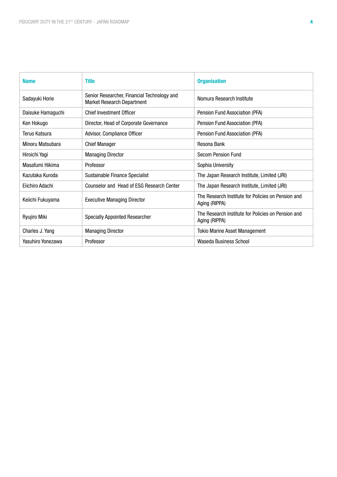| <b>Name</b>       | <b>Title</b>                                                                     | <b>Organisation</b>                                                 |
|-------------------|----------------------------------------------------------------------------------|---------------------------------------------------------------------|
| Sadayuki Horie    | Senior Researcher, Financial Technology and<br><b>Market Research Department</b> | Nomura Research Institute                                           |
| Daisuke Hamaguchi | <b>Chief Investment Officer</b>                                                  | Pension Fund Association (PFA)                                      |
| Ken Hokugo        | Director, Head of Corporate Governance                                           | Pension Fund Association (PFA)                                      |
| Teruo Katsura     | Advisor, Compliance Officer                                                      | Pension Fund Association (PFA)                                      |
| Minoru Matsubara  | <b>Chief Manager</b>                                                             | Resona Bank                                                         |
| Hiroichi Yagi     | <b>Managing Director</b>                                                         | <b>Secom Pension Fund</b>                                           |
| Masafumi Hikima   | Professor                                                                        | Sophia University                                                   |
| Kazutaka Kuroda   | Sustainable Finance Specialist                                                   | The Japan Research Institute, Limited (JRI)                         |
| Eiichiro Adachi   | Counselor and Head of ESG Research Center                                        | The Japan Research Institute, Limited (JRI)                         |
| Keiichi Fukuyama  | <b>Executive Managing Director</b>                                               | The Research Institute for Policies on Pension and<br>Aging (RIPPA) |
| Ryujiro Miki      | <b>Specially Appointed Researcher</b>                                            | The Research Institute for Policies on Pension and<br>Aging (RIPPA) |
| Charles J. Yang   | <b>Managing Director</b>                                                         | <b>Tokio Marine Asset Management</b>                                |
| Yasuhiro Yonezawa | Professor                                                                        | Waseda Business School                                              |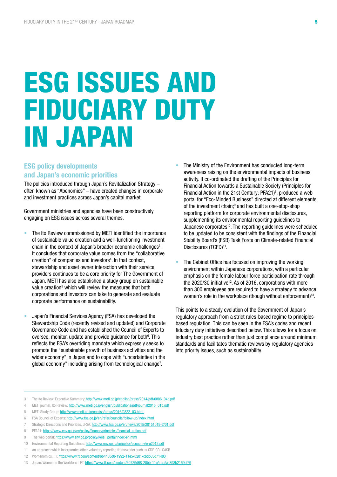### ESG ISSUES AND FIDUCIARY DUTY IN JAPAN

#### ESG policy developments and Japan's economic priorities

The policies introduced through Japan's Revitalization Strategy – often known as "Abenomics" – have created changes in corporate and investment practices across Japan's capital market.

Government ministries and agencies have been constructively engaging on ESG issues across several themes.

- The Ito Review commissioned by METI identified the importance of sustainable value creation and a well-functioning investment chain in the context of Japan's broader economic challenges<sup>3</sup>. It concludes that corporate value comes from the "collaborative creation" of companies and investors<sup>4</sup>. In that context, stewardship and asset owner interaction with their service providers continues to be a core priority for The Government of Japan. METI has also established a study group on sustainable value creation<sup>5</sup> which will review the measures that both corporations and investors can take to generate and evaluate corporate performance on sustainability.
- Japan's Financial Services Agency (FSA) has developed the Stewardship Code (recently revised and updated) and Corporate Governance Code and has established the Council of Experts to oversee, monitor, update and provide guidance for both<sup>6</sup>. This reflects the FSA's overriding mandate which expressly seeks to promote the "sustainable growth of business activities and the wider economy" in Japan and to cope with "uncertainties in the global economy" including arising from technological change<sup>7</sup>.
- The Ministry of the Environment has conducted long-term awareness raising on the environmental impacts of business activity. It co-ordinated the drafting of the Principles for Financial Action towards a Sustainable Society (Principles for Financial Action in the 21st Century; PFA21 $)$ <sup>8</sup>, produced a web portal for "Eco-Minded Business" directed at different elements of the investment chain;<sup>9</sup> and has built a one-stop-shop reporting platform for corporate environmental disclosures, supplementing its environmental reporting guidelines to Japanese corporates<sup>10</sup>. The reporting quidelines were scheduled to be updated to be consistent with the findings of the Financial Stability Board's (FSB) Task Force on Climate-related Financial Disclosures (TCFD)<sup>11</sup>.
- The Cabinet Office has focused on improving the working environment within Japanese corporations, with a particular emphasis on the female labour force participation rate through the 2020/30 initiative<sup>12</sup>. As of 2016, corporations with more than 300 employees are required to have a strategy to advance women's role in the workplace (though without enforcement)<sup>13</sup>.

This points to a steady evolution of the Government of Japan's regulatory approach from a strict rules-based regime to principlesbased regulation. This can be seen in the FSA's codes and recent fiduciary duty initiatives described below. This allows for a focus on industry best practice rather than just compliance around minimum standards and facilitates thematic reviews by regulatory agencies into priority issues, such as sustainability.

<sup>3</sup> The Ito Review, Executive Summary: [http://www.meti.go.jp/english/press/2014/pdf/0806\\_04c.pdf](http://www.meti.go.jp/english/press/2014/pdf/0806_04c.pdf)

<sup>4</sup> METI journal, Ito Review: [http://www.meti.go.jp/english/publications/pdf/journal2015\\_01b.pdf](http://www.meti.go.jp/english/publications/pdf/journal2015_01b.pdf)

<sup>5</sup> METI Study Group: [http://www.meti.go.jp/english/press/2016/0822\\_03.html](http://www.meti.go.jp/english/press/2016/0822_03.html) 

<sup>6</sup> FSA Council of Experts:<http://www.fsa.go.jp/en/refer/councils/follow-up/index.html>

<sup>7</sup> Strategic Directions and Priorities, JFSA:<http://www.fsa.go.jp/en/news/2015/20151019-2/01.pdf>

<sup>8</sup> PFA21: [https://www.env.go.jp/en/policy/finance/principles/financial\\_action.pdf](https://www.env.go.jp/en/policy/finance/principles/financial_action.pdf)

<sup>9</sup> The web portal: [https://www.env.go.jp/policy/keiei\\_portal/index-en.html](https://www.env.go.jp/policy/keiei_portal/index-en.html)

<sup>10</sup> Environmental Reporting Guidelines: <http://www.env.go.jp/en/policy/economy/erg2012.pdf>

<sup>11</sup> An approach which incorporates other voluntary reporting frameworks such as CDP, GRI, SASB

<sup>12</sup> Womenomics, FT: <https://www.ft.com/content/6b4460d0-1992-11e5-8201-cbdb03d71480>

<sup>13</sup> Japan: Women in the Workforce, FT: <https://www.ft.com/content/60729d68-20bb-11e5-aa5a-398b2169cf79>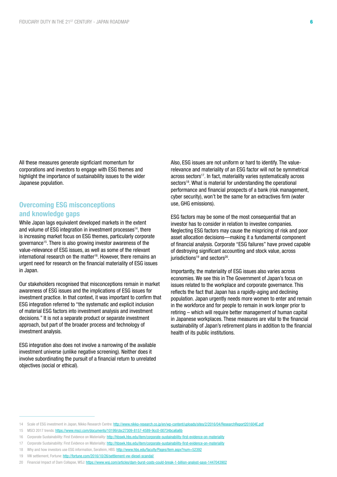All these measures generate signficiant momentum for corporations and investors to engage with ESG themes and highlight the importance of sustainability issues to the wider Japanese population.

#### Overcoming ESG misconceptions and knowledge gaps

While Japan lags equivalent developed markets in the extent and volume of ESG integration in investment processes<sup>14</sup>, there is increasing market focus on ESG themes, particularly corporate governance15. There is also growing investor awareness of the value-relevance of ESG issues, as well as some of the relevant international research on the matter<sup>16</sup>. However, there remains an urgent need for research on the financial materiality of ESG issues in Japan.

Our stakeholders recognised that misconceptions remain in market awareness of ESG issues and the implications of ESG issues for investment practice. In that context, it was important to confirm that ESG integration referred to "the systematic and explicit inclusion of material ESG factors into investment analysis and investment decisions." It is not a separate product or separate investment approach, but part of the broader process and technology of investment analysis.

ESG integration also does not involve a narrowing of the available investment universe (unlike negative screening). Neither does it involve subordinating the pursuit of a financial return to unrelated objectives (social or ethical).

Also, ESG issues are not uniform or hard to identify. The valuerelevance and materiality of an ESG factor will not be symmetrical across sectors<sup>17</sup>. In fact, materiality varies systematically across sectors<sup>18</sup>. What is material for understanding the operational performance and financial prospects of a bank (risk management, cyber security), won't be the same for an extractives firm (water use, GHG emissions).

ESG factors may be some of the most consequential that an investor has to consider in relation to investee companies. Neglecting ESG factors may cause the mispricing of risk and poor asset allocation decisions—making it a fundamental component of financial analysis. Corporate "ESG failures" have proved capable of destroying significant accounting and stock value, across  $i$ urisdictions<sup>19</sup> and sectors<sup>20</sup>.

Importantly, the materiality of ESG issues also varies across economies. We see this in The Government of Japan's focus on issues related to the workplace and corporate governance. This reflects the fact that Japan has a rapidly-aging and declining population. Japan urgently needs more women to enter and remain in the workforce and for people to remain in work longer prior to retiring – which will require better management of human capital in Japanese workplaces. These measures are vital to the financial sustainability of Japan's retirement plans in addition to the financial health of its public institutions.

18 Why and how investors use ESG information, Serafeim, HBS: <http://www.hbs.edu/faculty/Pages/item.aspx?num=52392>

<sup>14</sup> Scale of ESG investment in Japan, Nikko Research Centre:<http://www.nikko-research.co.jp/en/wp-content/uploads/sites/2/2016/04/ResearchReport201604E.pdf>

<sup>15</sup> MSCI 2017 trends: <https://www.msci.com/documents/10199/cbc27309-8157-4589-9cc0-00734bca6a6b>

<sup>16</sup> Corporate Sustainability: First Evidence on Materiality: <http://hbswk.hbs.edu/item/corporate-sustainability-first-evidence-on-materiality>

<sup>17</sup> Corporate Sustainability: First Evidence on Materiality: <http://hbswk.hbs.edu/item/corporate-sustainability-first-evidence-on-materiality>

<sup>19</sup> VW settlement, Fortune:<http://fortune.com/2016/10/26/settlement-vw-diesel-scandal/>

<sup>20</sup> Financial Impact of Dam Collapse, WSJ: <https://www.wsj.com/articles/dam-burst-costs-could-break-1-billion-analyst-says-1447043902>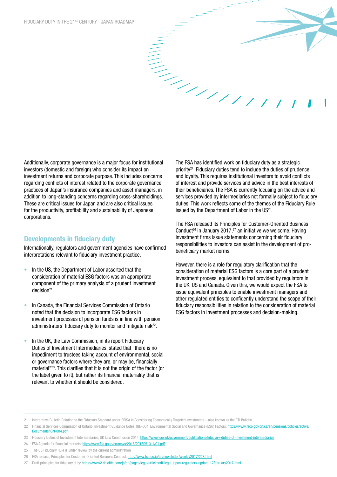Additionally, corporate governance is a major focus for institutional investors (domestic and foreign) who consider its impact on investment returns and corporate purpose. This includes concerns regarding conflicts of interest related to the corporate governance practices of Japan's insurance companies and asset managers, in addition to long-standing concerns regarding cross-shareholdings. These are critical issues for Japan and are also critical issues for the productivity, profitability and sustainability of Japanese corporations.

#### Developments in fiduciary duty

Internationally, regulators and government agencies have confirmed interpretations relevant to fiduciary investment practice.

- In the US, the Department of Labor asserted that the consideration of material ESG factors was an appropriate component of the primary analysis of a prudent investment  $decision<sup>21</sup>$ .
- In Canada, the Financial Services Commission of Ontario noted that the decision to incorporate ESG factors in investment processes of pension funds is in line with pension administrators' fiduciary duty to monitor and mitigate risk<sup>22</sup>.
- In the UK, the Law Commission, in its report Fiduciary Duties of Investment Intermediaries, stated that "there is no impediment to trustees taking account of environmental, social or governance factors where they are, or may be, financially material"23. This clarifies that it is not the origin of the factor (or the label given to it), but rather its financial materiality that is relevant to whether it should be considered.

The FSA has identified work on fiduciary duty as a strategic priority24. Fiduciary duties tend to include the duties of prudence and loyalty. This requires institutional investors to avoid conflicts of interest and provide services and advice in the best interests of their beneficiaries. The FSA is currently focusing on the advice and services provided by intermediaries not formally subject to fiduciary duties. This work reflects some of the themes of the Fiduciary Rule issued by the Department of Labor in the US<sup>25</sup>.

The FSA released its Principles for Customer-Oriented Business Conduct<sup>26</sup> in January 2017,<sup>27</sup> an initiative we welcome. Having investment firms issue statements concerning their fiduciary responsibilities to investors can assist in the development of probeneficiary market norms.

However, there is a role for regulatory clarification that the consideration of material ESG factors is a core part of a prudent investment process, equivalent to that provided by regulators in the UK, US and Canada. Given this, we would expect the FSA to issue equivalent principles to enable investment managers and other regulated entities to confidently understand the scope of their fiduciary responsibilities in relation to the consideration of material ESG factors in investment processes and decision-making.

27 Draft principles for fiduciary duty: <https://www2.deloitte.com/jp/en/pages/legal/articles/dt-legal-japan-regulatory-update-17february2017.html>

<sup>21</sup> Interpretive Bulletin Relating to the Fiduciary Standard under ERISA in Considering Economically Targeted Investments – also known as the ETI Bulletin

<sup>22</sup> Financial Services Commission of Ontario, Investment Guidance Notes: IGN-004: Environmental Social and Governance (ESG) Eactors, https://www.fsco.gov.on.ca/en/pensions/policies/active [Documents/IGN-004.pdf](https://www.fsco.gov.on.ca/en/pensions/policies/active/Documents/IGN-004.pdf
)

<sup>23</sup> Fiduciary Duties of Investment Intermediaries, UK Law Commission 2014:<https://www.gov.uk/government/publications/fiduciary-duties-of-investment-intermediaries>

<sup>24</sup> FSA Agenda for financial markets: <http://www.fsa.go.jp/en/news/2016/20160513-1/01.pdf>

<sup>25</sup> The US Fiduciary Rule is under review by the current administration

<sup>26</sup> FSA release, Principles for Customer-Oriented Business Conduct: <http://www.fsa.go.jp/en/newsletter/weekly2017/228.html>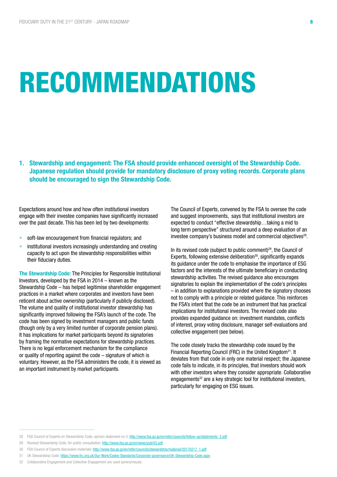### RECOMMENDATIONS

1. Stewardship and engagement: The FSA should provide enhanced oversight of the Stewardship Code. Japanese regulation should provide for mandatory disclosure of proxy voting records. Corporate plans should be encouraged to sign the Stewardship Code.

Expectations around how and how often institutional investors engage with their investee companies have significantly increased over the past decade. This has been led by two developments:

- soft-law encouragement from financial regulators; and
- institutional investors increasingly understanding and creating capacity to act upon the stewardship responsibilities within their fiduciary duties.

The Stewardship Code: The Principles for Responsible Institutional Investors, developed by the FSA in 2014 – known as the Stewardship Code – has helped legitimise shareholder engagement practices in a market where corporates and investors have been reticent about active ownership (particularly if publicly disclosed). The volume and quality of institutional investor stewardship has significantly improved following the FSA's launch of the code. The code has been signed by investment managers and public funds (though only by a very limited number of corporate pension plans). It has implications for market participants beyond its signatories by framing the normative expectations for stewardship practices. There is no legal enforcement mechanism for the compliance or quality of reporting against the code – signature of which is voluntary. However, as the FSA administers the code, it is viewed as an important instrument by market participants.

The Council of Experts, convened by the FSA to oversee the code and suggest improvements, says that institutional investors are expected to conduct "effective stewardship…taking a mid to long term perspective" structured around a deep evaluation of an investee company's business model and commercial objectives<sup>28</sup>.

In its revised code (subject to public comment)29, the Council of Experts, following extensive deliberation<sup>30</sup>, significantly expands its guidance under the code to emphasise the importance of ESG factors and the interests of the ultimate beneficiary in conducting stewardship activities. The revised guidance also encourages signatories to explain the implementation of the code's principles – in addition to explanations provided where the signatory chooses not to comply with a principle or related guidance. This reinforces the FSA's intent that the code be an instrument that has practical implications for institutional investors. The revised code also provides expanded guidance on: investment mandates, conflicts of interest, proxy voting disclosure, manager self-evaluations and collective engagement (see below).

The code closely tracks the stewardship code issued by the Financial Reporting Council (FRC) in the United Kingdom<sup>31</sup>. It deviates from that code in only one material respect; the Japanese code fails to indicate, in its principles, that investors should work with other investors where they consider appropriate. Collaborative engagements<sup>32</sup> are a key strategic tool for institutional investors, particularly for engaging on ESG issues.

<sup>28</sup> FSA Council of Experts on Stewardship Code, opinion statement no 3: [http://www.fsa.go.jp/en/refer/councils/follow-up/statements\\_3.pdf](http://www.fsa.go.jp/en/refer/councils/follow-up/statements_3.pdf)

<sup>29</sup> Revised Stewardship Code, for public consultation: <http://www.fsa.go.jp/en/news/pub/03.pdf>

<sup>30</sup> FSA Council of Experts discussion materials: [http://www.fsa.go.jp/en/refer/councils/stewardship/material/20170217\\_1.pdf](http://www.fsa.go.jp/en/refer/councils/stewardship/material/20170217_1.pdf)

<sup>31</sup> UK Stewardship Code:<https://www.frc.org.uk/Our-Work/Codes-Standards/Corporate-governance/UK-Stewardship-Code.aspx>

<sup>32</sup> Collaborative Engagement and Collective Engagement are used synonymously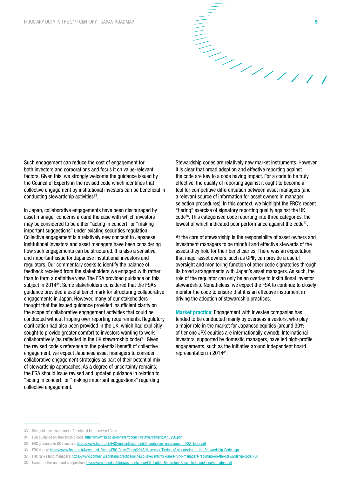

Such engagement can reduce the cost of engagement for both investors and corporations and focus it on value-relevant factors. Given this, we strongly welcome the guidance issued by the Council of Experts in the revised code which identifies that collective engagement by institutional investors can be beneficial in conducting stewardship activities<sup>33</sup>.

In Japan, collaborative engagements have been discouraged by asset manager concerns around the ease with which investors may be considered to be either "acting in concert" or "making important suggestions" under existing securities regulation. Collective engagement is a relatively new concept to Japanese institutional investors and asset managers have been considering how such engagements can be structured. It is also a sensitive and important issue for Japanese institutional investors and regulators. Our commentary seeks to identify the balance of feedback received from the stakeholders we engaged with rather than to form a definitive view. The FSA provided guidance on this subject in 2014<sup>34</sup>. Some stakeholders considered that the FSA's guidance provided a useful benchmark for structuring collaborative engagements in Japan. However, many of our stakeholders thought that the issued guidance provided insufficient clarity on the scope of collaborative engagement activities that could be conducted without tripping over reporting requirements. Regulatory clarification had also been provided in the UK, which had explicitly sought to provide greater comfort to investors wanting to work collaboratively (as reflected in the UK stewardship code) $35$ . Given the revised code's reference to the potential benefit of collective engagement, we expect Japanese asset managers to consider collaborative engagement strategies as part of their potential mix of stewardship approaches. As a degree of uncertainty remains, the FSA should issue revised and updated guidance in relation to "acting in concert" or "making important suggestions" regarding collective engagement.

Stewardship codes are relatively new market instruments. However, it is clear that broad adoption and effective reporting against the code are key to a code having impact. For a code to be truly effective, the quality of reporting against it ought to become a tool for competitive differentiation between asset managers (and a relevant source of information for asset owners in manager selection procedures). In this context, we highlight the FRC's recent "tiering" exercise of signatory reporting quality against the UK code36. This categorised code reporting into three categories, the lowest of which indicated poor performance against the code<sup>37</sup>.

At the core of stewardship is the responsibility of asset owners and investment managers to be mindful and effective stewards of the assets they hold for their beneficiaries. There was an expectation that major asset owners, such as GPIF, can provide a useful oversight and monitoring function of other code signatories through its broad arrangements with Japan's asset managers. As such, the role of the regulator can only be an overlay to institutional investor stewardship. Nonetheless, we expect the FSA to continue to closely monitor the code to ensure that it is an effective instrument in driving the adoption of stewardship practices.

Market practice: Engagement with investee companies has tended to be conducted mainly by overseas investors, who play a major role in the market for Japanese equities (around 30% of tier one JPX equities are internationally owned). International investors, supported by domestic managers, have led high-profile engagements, such as the initiative around independent board representation in 201438.

<sup>33</sup> See guidance issued under Principle 4 in the revised Code

<sup>34</sup> FSA guidance on stewardship code:<http://www.fsa.go.jp/en/refer/councils/stewardship/20140226.pdf>

<sup>35</sup> FRC guidance to UK investors: [https://www.frc.org.uk/FRC/media/Documents/shareholder\\_engagement\\_FSA\\_letter.pdf](https://www.frc.org.uk/FRC/media/Documents/shareholder_engagement_FSA_letter.pdf)

<sup>36</sup> FRC tiering:<https://www.frc.org.uk/News-and-Events/FRC-Press/Press/2016/November/Tiering-of-signatories-to-the-Stewardship-Code.aspx>

<sup>37</sup> FRC ranks fund managers: <https://www.companysecretarialpracticeonline.co.uk/events/frc-ranks-fund-managers-reporting-on-the-stewardship-code/780>

<sup>38</sup> Investor letter on board composition: [http://www.standardlifeinvestments.com/CG\\_Letter\\_Regarding\\_Board\\_Independence/getLatest.pdf](http://www.standardlifeinvestments.com/CG_Letter_Regarding_Board_Independence/getLatest.pdf)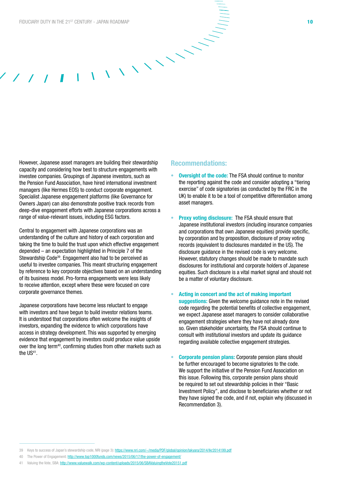However, Japanese asset managers are building their stewardship capacity and considering how best to structure engagements with investee companies. Groupings of Japanese investors, such as the Pension Fund Association, have hired international investment managers (like Hermes EOS) to conduct corporate engagement. Specialist Japanese engagement platforms (like Governance for Owners Japan) can also demonstrate positive track records from deep-dive engagement efforts with Japanese corporations across a range of value-relevant issues, including ESG factors.

Central to engagement with Japanese corporations was an understanding of the culture and history of each corporation and taking the time to build the trust upon which effective engagement depended – an expectation highlighted in Principle 7 of the Stewardship Code39. Engagement also had to be perceived as useful to investee companies. This meant structuring engagement by reference to key corporate objectives based on an understanding of its business model. Pro-forma engagements were less likely to receive attention, except where these were focused on core corporate governance themes.

Japanese corporations have become less reluctant to engage with investors and have begun to build investor relations teams. It is understood that corporations often welcome the insights of investors, expanding the evidence to which corporations have access in strategy development. This was supported by emerging evidence that engagement by investors could produce value upside over the long term<sup>40</sup>, confirming studies from other markets such as the US<sup>41</sup>.

#### Recommendations:

- **Oversight of the code:** The FSA should continue to monitor the reporting against the code and consider adopting a "tiering exercise" of code signatories (as conducted by the FRC in the UK) to enable it to be a tool of competitive differentiation among asset managers.
- **Proxy voting disclosure:** The FSA should ensure that Japanese institutional investors (including insurance companies and corporations that own Japanese equities) provide specific, by corporation and by proposition, disclosure of proxy voting records (equivalent to disclosures mandated in the US). The disclosure guidance in the revised code is very welcome. However, statutory changes should be made to mandate such disclosures for institutional and corporate holders of Japanese equities. Such disclosure is a vital market signal and should not be a matter of voluntary disclosure.
- Acting in concert and the act of making important suggestions: Given the welcome guidance note in the revised code regarding the potential benefits of collective engagement, we expect Japanese asset managers to consider collaborative engagement strategies where they have not already done so. Given stakeholder uncertainty, the FSA should continue to consult with institutional investors and update its guidance regarding available collective engagement strategies.
- Corporate pension plans: Corporate pension plans should be further encouraged to become signatories to the code. We support the initiative of the Pension Fund Association on this issue. Following this, corporate pension plans should be required to set out stewardship policies in their "Basic Investment Policy", and disclose to beneficiaries whether or not they have signed the code, and if not, explain why (discussed in Recommendation 3).

- 40 The Power of Engagement:<http://www.top1000funds.com/news/2015/06/17/the-power-of-engagement/>
- Valuing the Vote, SBA: http://www.yaluewalk.com/wp-content/uploads/2015/06/SBAValuingtheVote20151.pdf

<sup>39</sup> Keys to success of Japan's stewardship code, NRI (page 3):<https://www.nri.com/~/media/PDF/global/opinion/lakyara/2014/lkr2014199.pdf>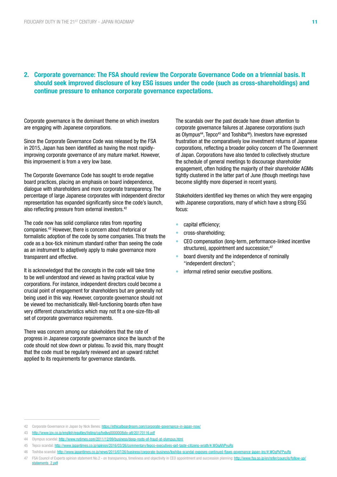#### 2. Corporate governance: The FSA should review the Corporate Governance Code on a triennial basis. It should seek improved disclosure of key ESG issues under the code (such as cross-shareholdings) and continue pressure to enhance corporate governance expectations.

Corporate governance is the dominant theme on which investors are engaging with Japanese corporations.

Since the Corporate Governance Code was released by the FSA in 2015, Japan has been identified as having the most rapidlyimproving corporate governance of any mature market. However, this improvement is from a very low base.

The Corporate Governance Code has sought to erode negative board practices, placing an emphasis on board independence, dialogue with shareholders and more corporate transparency. The percentage of large Japanese corporates with independent director representation has expanded significantly since the code's launch, also reflecting pressure from external investors.<sup>42</sup>

The code now has solid compliance rates from reporting companies.43 However, there is concern about rhetorical or formalistic adoption of the code by some companies. This treats the code as a box-tick minimum standard rather than seeing the code as an instrument to adaptively apply to make governance more transparent and effective.

It is acknowledged that the concepts in the code will take time to be well understood and viewed as having practical value by corporations. For instance, independent directors could become a crucial point of engagement for shareholders but are generally not being used in this way. However, corporate governance should not be viewed too mechanistically. Well-functioning boards often have very different characteristics which may not fit a one-size-fits-all set of corporate governance requirements.

There was concern among our stakeholders that the rate of progress in Japanese corporate governance since the launch of the code should not slow down or plateau. To avoid this, many thought that the code must be regularly reviewed and an upward ratchet applied to its requirements for governance standards.

The scandals over the past decade have drawn attention to corporate governance failures at Japanese corporations (such as Olympus<sup>44</sup>, Tepco<sup>45</sup> and Toshiba<sup>46</sup>). Investors have expressed frustration at the comparatively low investment returns of Japanese corporations, reflecting a broader policy concern of The Government of Japan. Corporations have also tended to collectively structure the schedule of general meetings to discourage shareholder engagement, often holding the majority of their shareholder AGMs tightly clustered in the latter part of June (though meetings have become slightly more dispersed in recent years).

Stakeholders identified key themes on which they were engaging with Japanese corporations, many of which have a strong ESG focus:

- capital efficiency;
- cross-shareholding;
- CEO compensation (long-term, performance-linked incentive structures), appointment and succession;<sup>47</sup>
- board diversity and the independence of nominally "independent directors";
- informal retired senior executive positions.

<sup>42</sup> Corporate Governance in Japan by Nick Benes: <https://ethicalboardroom.com/corporate-governance-in-japan-now/>

<sup>43</sup> <http://www.jpx.co.jp/english/equities/listing/cg/tvdivq0000008jdy-att/20170116.pdf>

<sup>44</sup> Olympus scandal: <http://www.nytimes.com/2011/12/09/business/deep-roots-of-fraud-at-olympus.html>

<sup>45</sup> Tepco scandal: <http://www.japantimes.co.jp/opinion/2016/03/26/commentary/tepco-executives-get-taste-citizens-wrath/#.WOqAIVPyuRs>

<sup>46</sup> Toshiba scandal:<http://www.japantimes.co.jp/news/2015/07/26/business/corporate-business/toshiba-scandal-exposes-continued-flaws-governance-japan-inc/#.WOqPkFPyuRs>

<sup>47</sup> FSA Council of Experts opinion statement No.2 - on transparency, timeliness and objectivity in CEO appointment and succession planning: [http://www.fsa.go.jp/en/refer/councils/follow-up/](http://www.fsa.go.jp/en/refer/councils/follow-up/statements_2.pdf) [statements\\_2.pdf](http://www.fsa.go.jp/en/refer/councils/follow-up/statements_2.pdf)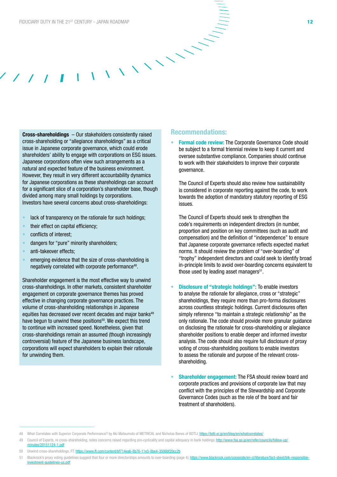Cross-shareholdings – Our stakeholders consistently raised cross-shareholding or "allegiance shareholdings" as a critical issue in Japanese corporate governance, which could erode shareholders' ability to engage with corporations on ESG issues. Japanese corporations often view such arrangements as a natural and expected feature of the business environment. However, they result in very different accountability dynamics for Japanese corporations as these shareholdings can account for a significant slice of a corporation's shareholder base, though divided among many small holdings by corporations. Investors have several concerns about cross-shareholdings:

- lack of transparency on the rationale for such holdings;
- their effect on capital efficiency;
- conflicts of interest;
- dangers for "pure" minority shareholders;
- anti-takeover effects;
- emerging evidence that the size of cross-shareholding is negatively correlated with corporate performance48.

Shareholder engagement is the most effective way to unwind cross-shareholdings. In other markets, consistent shareholder engagement on corporate governance themes has proved effective in changing corporate governance practices. The volume of cross-shareholding relationships in Japanese equities has decreased over recent decades and major banks<sup>49</sup> have begun to unwind these positions<sup>50</sup>. We expect this trend to continue with increased speed. Nonetheless, given that cross-shareholdings remain an assumed (though increasingly controversial) feature of the Japanese business landscape, corporations will expect shareholders to explain their rationale for unwinding them.

#### Recommendations:

**Formal code review: The Corporate Governance Code should** be subject to a formal triennial review to keep it current and oversee substantive compliance. Companies should continue to work with their stakeholders to improve their corporate governance.

The Council of Experts should also review how sustainability is considered in corporate reporting against the code, to work towards the adoption of mandatory statutory reporting of ESG issues.

The Council of Experts should seek to strengthen the code's requirements on independent directors (in number, proportion and position on key committees (such as audit and compensation) and the definition of "independence" to ensure that Japanese corporate governance reflects expected market norms. It should review the problem of "over-boarding" of "trophy" independent directors and could seek to identify broad in-principle limits to avoid over-boarding concerns equivalent to those used by leading asset managers $51$ .

- Disclosure of "strategic holdings": To enable investors to analyse the rationale for allegiance, cross or "strategic" shareholdings, they require more than pro-forma disclosures across countless strategic holdings. Current disclosures often simply reference "to maintain a strategic relationship" as the only rationale. The code should provide more granular guidance on disclosing the rationale for cross-shareholding or allegiance shareholder positions to enable deeper and informed investor analysis. The code should also require full disclosure of proxy voting of cross-shareholding positions to enable investors to assess the rationale and purpose of the relevant crossshareholding.
- **Shareholder engagement:** The FSA should review board and corporate practices and provisions of corporate law that may conflict with the principles of the Stewardship and Corporate Governance Codes (such as the role of the board and fair treatment of shareholders).

- 49 Council of Experts, re cross-shareholding, notes concerns raised regarding pro-cyclicality and capital adequacy in bank holdings: http://www.fsa.go.jp/en/refer/council [minutes/20151124-1.pdf](http://www.fsa.go.jp/en/refer/councils/follow-up/minutes/20151124-1.pdf)
- 50 Unwind cross-shareholdings, FT: <https://www.ft.com/content/bf714ea6-8b76-11e5-8be4-3506bf20cc2b>
- 51 Blackrock's proxy voting quidelines suggest that four or more directorships amounts to over-boarding (page 4): https://www.blackrock.com/corporate/en-cl/literature/fact-sheet/blk-respo [investment-guidelines-us.pdf](https://www.blackrock.com/corporate/en-cl/literature/fact-sheet/blk-responsible-investment-guidelines-us.pdf)

<sup>48</sup> What Correlates with Superior Corporate Performance? by Aki Matsumoto of METRICAL and Nicholas Benes of BDTIJ: <https://bdti.or.jp/en/blog/en/whatcorrelates/>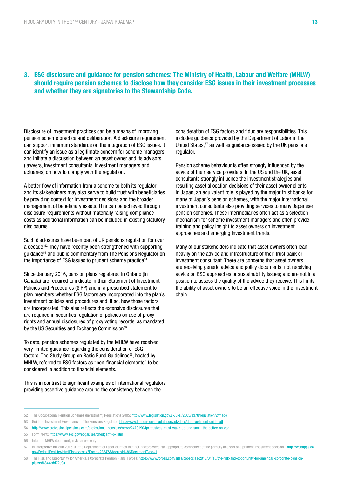#### 3. ESG disclosure and guidance for pension schemes: The Ministry of Health, Labour and Welfare (MHLW) should require pension schemes to disclose how they consider ESG issues in their investment processes and whether they are signatories to the Stewardship Code.

Disclosure of investment practices can be a means of improving pension scheme practice and deliberation. A disclosure requirement can support minimum standards on the integration of ESG issues. It can identify an issue as a legitimate concern for scheme managers and initiate a discussion between an asset owner and its advisors (lawyers, investment consultants, investment managers and actuaries) on how to comply with the regulation.

A better flow of information from a scheme to both its regulator and its stakeholders may also serve to build trust with beneficiaries by providing context for investment decisions and the broader management of beneficiary assets. This can be achieved through disclosure requirements without materially raising compliance costs as additional information can be included in existing statutory disclosures.

Such disclosures have been part of UK pensions regulation for over a decade.52 They have recently been strengthened with supporting guidance<sup>53</sup> and public commentary from The Pensions Regulator on the importance of ESG issues to prudent scheme practice<sup>54</sup>.

Since January 2016, pension plans registered in Ontario (in Canada) are required to indicate in their Statement of Investment Policies and Procedures (SIPP) and in a prescribed statement to plan members whether ESG factors are incorporated into the plan's investment policies and procedures and, if so, how those factors are incorporated. This also reflects the extensive disclosures that are required in securities regulation of policies on use of proxy rights and annual disclosures of proxy voting records, as mandated by the US Securities and Exchange Commission<sup>55</sup>.

To date, pension schemes regulated by the MHLW have received very limited guidance regarding the consideration of ESG factors. The Study Group on Basic Fund Guidelines<sup>56</sup>, hosted by MHLW, referred to ESG factors as "non-financial elements" to be considered in addition to financial elements.

This is in contrast to significant examples of international regulators providing assertive guidance around the consistency between the

consideration of ESG factors and fiduciary responsibilities. This includes guidance provided by the Department of Labor in the United States,<sup>57</sup> as well as guidance issued by the UK pensions regulator.

Pension scheme behaviour is often strongly influenced by the advice of their service providers. In the US and the UK, asset consultants strongly influence the investment strategies and resulting asset allocation decisions of their asset owner clients. In Japan, an equivalent role is played by the major trust banks for many of Japan's pension schemes, with the major international investment consultants also providing services to many Japanese pension schemes. These intermediaries often act as a selection mechanism for scheme investment managers and often provide training and policy insight to asset owners on investment approaches and emerging investment trends.

Many of our stakeholders indicate that asset owners often lean heavily on the advice and infrastructure of their trust bank or investment consultant. There are concerns that asset owners are receiving generic advice and policy documents; not receiving advice on ESG approaches or sustainability issues; and are not in a position to assess the quality of the advice they receive. This limits the ability of asset owners to be an effective voice in the investment chain.

55 Form N-PX: <https://www.sec.gov/edgar/searchedgar/n-px.htm>

<sup>52</sup> The Occupational Pension Schemes (Investment) Regulations 2005: <http://www.legislation.gov.uk/uksi/2005/3378/regulation/2/made>

<sup>53</sup> Guide to Investment Governance – The Pensions Regulator:<http://www.thepensionsregulator.gov.uk/docs/dc-investment-guide.pdf>

<sup>54</sup> <http://www.professionalpensions.com/professional-pensions/news/2470190/tpr-trustees-must-wake-up-and-smell-the-coffee-on-esg>

<sup>56</sup> Informal MHLW document, in Japanese only

<sup>57</sup> In interpretive bulletin 2015-01 the Department of Labor clarified that ESG factors were "an appropriate component of the primary analysis of a prudent investment decision": [http://webapps.dol.](http://webapps.dol.gov/FederalRegister/HtmlDisplay.aspx?DocId=28547&AgencyId=8&DocumentType=1) [gov/FederalRegister/HtmlDisplay.aspx?DocId=28547&AgencyId=8&DocumentType=1](http://webapps.dol.gov/FederalRegister/HtmlDisplay.aspx?DocId=28547&AgencyId=8&DocumentType=1)

<sup>58</sup> The Risk and Opportunity for America's Corporate Pension Plans, Forbes: [https://www.forbes.com/sites/bobeccles/2017/01/10/the-risk-and-opportunity-for-americas-corporate-pension](https://www.forbes.com/sites/bobeccles/2017/01/10/the-risk-and-opportunity-for-americas-corporate-pension-plans/#6844cdd72c9a)[plans/#6844cdd72c9a](https://www.forbes.com/sites/bobeccles/2017/01/10/the-risk-and-opportunity-for-americas-corporate-pension-plans/#6844cdd72c9a)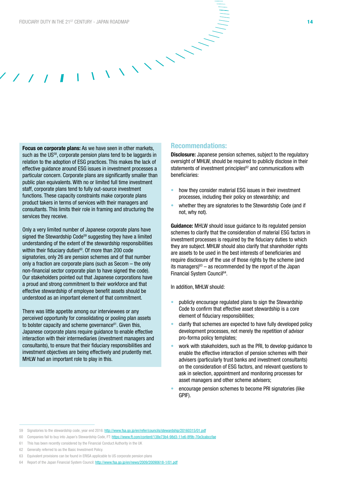Focus on corporate plans: As we have seen in other markets, such as the US<sup>58</sup>, corporate pension plans tend to be laggards in relation to the adoption of ESG practices. This makes the lack of effective guidance around ESG issues in investment processes a particular concern. Corporate plans are significantly smaller than public plan equivalents. With no or limited full time investment staff, corporate plans tend to fully out-source investment functions. These capacity constraints make corporate plans product takers in terms of services with their managers and consultants. This limits their role in framing and structuring the services they receive.

Only a very limited number of Japanese corporate plans have signed the Stewardship Code<sup>59</sup> suggesting they have a limited understanding of the extent of the stewardship responsibilities within their fiduciary duties<sup>60</sup>. Of more than 200 code signatories, only 26 are pension schemes and of that number only a fraction are corporate plans (such as Secom – the only non-financial sector corporate plan to have signed the code). Our stakeholders pointed out that Japanese corporations have a proud and strong commitment to their workforce and that effective stewardship of employee benefit assets should be understood as an important element of that commitment.

There was little appetite among our interviewees or any perceived opportunity for consolidating or pooling plan assets to bolster capacity and scheme governance<sup>61</sup>. Given this, Japanese corporate plans require guidance to enable effective interaction with their intermediaries (investment managers and consultants), to ensure that their fiduciary responsibilities and investment objectives are being effectively and prudently met. MHLW had an important role to play in this.

#### Recommendations:

Disclosure: Japanese pension schemes, subject to the regulatory oversight of MHLW, should be required to publicly disclose in their statements of investment principles<sup>62</sup> and communications with beneficiaries:

- how they consider material ESG issues in their investment processes, including their policy on stewardship; and
- whether they are signatories to the Stewardship Code (and if not, why not).

**Guidance:** MHLW should issue quidance to its regulated pension schemes to clarify that the consideration of material ESG factors in investment processes is required by the fiduciary duties to which they are subject. MHLW should also clarify that shareholder rights are assets to be used in the best interests of beneficiaries and require disclosure of the use of those rights by the scheme (and its managers) $63 -$  as recommended by the report of the Japan Financial System Council<sup>64</sup>.

In addition, MHLW should:

- publicly encourage regulated plans to sign the Stewardship Code to confirm that effective asset stewardship is a core element of fiduciary responsibilities;
- clarify that schemes are expected to have fully developed policy development processes, not merely the repetition of advisor pro-forma policy templates;
- work with stakeholders, such as the PRI, to develop guidance to enable the effective interaction of pension schemes with their advisers (particularly trust banks and investment consultants) on the consideration of ESG factors, and relevant questions to ask in selection, appointment and monitoring processes for asset managers and other scheme advisers;
- encourage pension schemes to become PRI signatories (like GPIF).

<sup>59</sup> Signatories to the stewardship code, year end 2016: <http://www.fsa.go.jp/en/refer/councils/stewardship/20160315/01.pdf>

<sup>60</sup> Companies fail to buy into Japan's Stewardship Code, FT:<https://www.ft.com/content/138e73b4-98d3-11e6-8f9b-70e3cabccfae>

<sup>61</sup> This has been recently considered by the Financial Conduct Authority in the UK

<sup>62</sup> Generally referred to as the Basic Investment Policy.

<sup>63</sup> Equivalent provisions can be found in ERISA applicable to US corporate pension plans

<sup>64</sup> Report of the Japan Financial System Council:<http://www.fsa.go.jp/en/news/2009/20090618-1/01.pdf>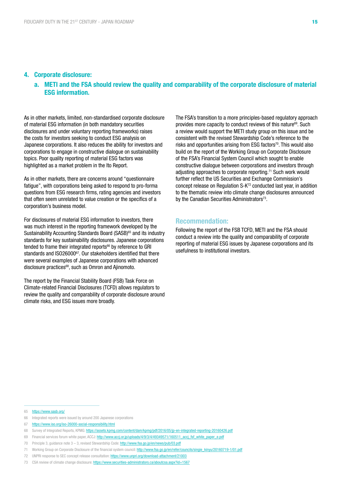#### 4. Corporate disclosure:

#### a. METI and the FSA should review the quality and comparability of the corporate disclosure of material ESG information.

As in other markets, limited, non-standardised corporate disclosure of material ESG information (in both mandatory securities disclosures and under voluntary reporting frameworks) raises the costs for investors seeking to conduct ESG analysis on Japanese corporations. It also reduces the ability for investors and corporations to engage in constructive dialogue on sustainability topics. Poor quality reporting of material ESG factors was highlighted as a market problem in the Ito Report.

As in other markets, there are concerns around "questionnaire fatigue", with corporations being asked to respond to pro-forma questions from ESG research firms, rating agencies and investors that often seem unrelated to value creation or the specifics of a corporation's business model.

For disclosures of material ESG information to investors, there was much interest in the reporting framework developed by the Sustainability Accounting Standards Board (SASB)<sup>65</sup> and its industry standards for key sustainability disclosures. Japanese corporations tended to frame their integrated reports<sup>66</sup> by reference to GRI standards and ISO26000<sup>67</sup>. Our stakeholders identified that there were several examples of Japanese corporations with advanced disclosure practices<sup>68</sup>, such as Omron and Ajinomoto.

The report by the Financial Stability Board (FSB) Task Force on Climate-related Financial Disclosures (TCFD) allows regulators to review the quality and comparability of corporate disclosure around climate risks, and ESG issues more broadly.

The FSA's transition to a more principles-based regulatory approach provides more capacity to conduct reviews of this nature<sup>69</sup>. Such a review would support the METI study group on this issue and be consistent with the revised Stewardship Code's reference to the risks and opportunities arising from ESG factors<sup>70</sup>. This would also build on the report of the Working Group on Corporate Disclosure of the FSA's Financial System Council which sought to enable constructive dialogue between corporations and investors through adjusting approaches to corporate reporting.<sup>71</sup> Such work would further reflect the US Securities and Exchange Commission's concept release on Regulation S-K72 conducted last year, in addition to the thematic review into climate change disclosures announced by the Canadian Securities Administrators<sup>73</sup>.

#### Recommendation:

Following the report of the FSB TCFD, METI and the FSA should conduct a review into the quality and comparability of corporate reporting of material ESG issues by Japanese corporations and its usefulness to institutional investors.

<sup>65</sup> <https://www.sasb.org/>

<sup>66</sup> Integrated reports were issued by around 200 Japanese corporations

<sup>67</sup> <https://www.iso.org/iso-26000-social-responsibility.html>

<sup>68</sup> Survey of Integrated Reports, KPMG:<https://assets.kpmg.com/content/dam/kpmg/pdf/2016/05/jp-en-integrated-reporting-20160426.pdf>

<sup>69</sup> Financial services forum white paper, ACCJ: http://www.acci.or.jp/uploads/4/9/3/4/49349571/160511\_accj\_fsf\_white\_paper\_e.pdf

<sup>70</sup> Principle 3, guidance note 3 – 3, revised Stewardship Code:<http://www.fsa.go.jp/en/news/pub/03.pdf>

<sup>71</sup> Working Group on Corporate Disclosure of the financial system council: [http://www.fsa.go.jp/en/refer/councils/singie\\_kinyu/20160719-1/01.pdf](http://www.fsa.go.jp/en/refer/councils/singie_kinyu/20160719-1/01.pdf)

<sup>72</sup> UNPRI response to SEC concept release consultation:<https://www.unpri.org/download-attachment/21003>

<sup>73</sup> CSA review of climate change disclosure: <https://www.securities-administrators.ca/aboutcsa.aspx?id=1567>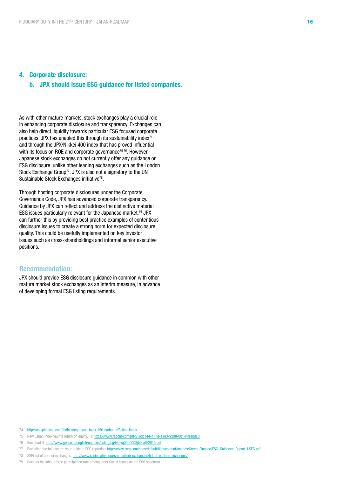#### 4. Corporate disclosure:

#### b. JPX should issue ESG guidance for listed companies.

As with other mature markets, stock exchanges play a crucial role in enhancing corporate disclosure and transparency. Exchanges can also help direct liquidity towards particular ESG focused corporate practices. JPX has enabled this through its sustainability index $74$ and through the JPX/Nikkei 400 index that has proved influential with its focus on ROE and corporate governance<sup>75 76</sup>. However, Japanese stock exchanges do not currently offer any guidance on ESG disclosure, unlike other leading exchanges such as the London Stock Exchange Group<sup>77</sup>. JPX is also not a signatory to the UN Sustainable Stock Exchanges initiative<sup>78</sup>.

Through hosting corporate disclosures under the Corporate Governance Code, JPX has advanced corporate transparency. Guidance by JPX can reflect and address the distinctive material ESG issues particularly relevant for the Japanese market.<sup>79</sup> JPX can further this by providing best practice examples of contentious disclosure issues to create a strong norm for expected disclosure quality. This could be usefully implemented on key investor issues such as cross-shareholdings and informal senior executive positions.

#### Recommendation:

JPX should provide ESG disclosure guidance in common with other mature market stock exchanges as an interim measure, in advance of developing formal ESG listing requirements.

<sup>74</sup> <http://us.spindices.com/indices/equity/sp-topix-150-carbon-efficient-index>

<sup>75</sup> New Japan index vaunts return on equity, FT: <https://www.ft.com/content/516dc144-477d-11e3-9398-00144feabdc0>

<sup>76</sup> See chart 4: <http://www.jpx.co.jp/english/equities/listing/cg/tvdivq0000008jb0-att/2015.pdf>

<sup>77</sup> Revealing the full picture: your guide to ESG reporting: [http://www.lseg.com/sites/default/files/content/images/Green\\_Finance/ESG\\_Guidance\\_Report\\_LSEG.pdf](http://www.lseg.com/sites/default/files/content/images/Green_Finance/ESG_Guidance_Report_LSEG.pdf)

<sup>78</sup> SSEi list of partner exchanges:<http://www.sseinitiative.org/sse-partner-exchanges/list-of-partner-exchanges/>

<sup>79</sup> Such as the labour force participation rate among other Social issues on the ESG spectrum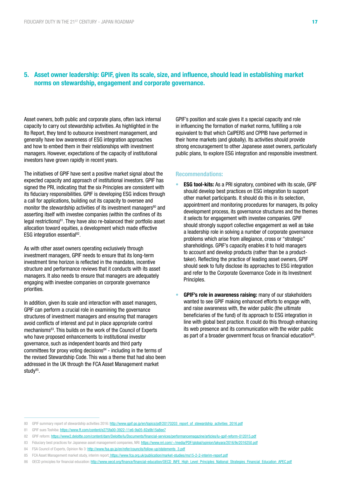#### 5. Asset owner leadership: GPIF, given its scale, size, and influence, should lead in establishing market norms on stewardship, engagement and corporate governance.

Asset owners, both public and corporate plans, often lack internal capacity to carry out stewardship activities. As highlighted in the Ito Report, they tend to outsource investment management, and generally have low awareness of ESG integration approaches and how to embed them in their relationships with investment managers. However, expectations of the capacity of institutional investors have grown rapidly in recent years.

The initiatives of GPIF have sent a positive market signal about the expected capacity and approach of institutional investors. GPIF has signed the PRI, indicating that the six Principles are consistent with its fiduciary responsibilities. GPIF is developing ESG indices through a call for applications, building out its capacity to oversee and monitor the stewardship activities of its investment managers<sup>80</sup> and asserting itself with investee companies (within the confines of its legal restrictions) $81$ . They have also re-balanced their portfolio asset allocation toward equities, a development which made effective ESG integration essential<sup>82</sup>.

As with other asset owners operating exclusively through investment managers, GPIF needs to ensure that its long-term investment time horizon is reflected in the mandates, incentive structure and performance reviews that it conducts with its asset managers. It also needs to ensure that managers are adequately engaging with investee companies on corporate governance priorities.

In addition, given its scale and interaction with asset managers, GPIF can perform a crucial role in examining the governance structures of investment managers and ensuring that managers avoid conflicts of interest and put in place appropriate control mechanisms83. This builds on the work of the Council of Experts who have proposed enhancements to institutional investor governance, such as independent boards and third party committees for proxy voting decisions $84$  - including in the terms of the revised Stewardship Code. This was a theme that had also been addressed in the UK through the FCA Asset Management market study<sup>85</sup>.

GPIF's position and scale gives it a special capacity and role in influencing the formation of market norms, fulfilling a role equivalent to that which CalPERS and CPPIB have performed in their home markets (and globally). Its activities should provide strong encouragement to other Japanese asset owners, particularly public plans, to explore ESG integration and responsible investment.

#### Recommendations:

- **ESG tool-kits:** As a PRI signatory, combined with its scale, GPIF should develop best practices on ESG integration to support other market participants. It should do this in its selection, appointment and monitoring procedures for managers, its policy development process, its governance structures and the themes it selects for engagement with investee companies. GPIF should strongly support collective engagement as well as take a leadership role in solving a number of corporate governance problems which arise from allegiance, cross or "strategic" shareholdings. GPIF's capacity enables it to hold managers to account and develop products (rather than be a producttaker). Reflecting the practice of leading asset owners, GPIF should seek to fully disclose its approaches to ESG integration and refer to the Corporate Governance Code in its Investment Principles.
- GPIF's role in awareness raising: many of our stakeholders wanted to see GPIF making enhanced efforts to engage with, and raise awareness with, the wider public (the ultimate beneficiaries of the fund) of its approach to ESG integration in line with global best practice. It could do this through enhancing its web presence and its communication with the wider public as part of a broader government focus on financial education<sup>86</sup>.

<sup>80</sup> GPIF summary report of stewardship activities 2016: [http://www.gpif.go.jp/en/topics/pdf/20170203\\_report\\_of\\_stewardship\\_activities\\_2016.pdf](http://www.gpif.go.jp/en/topics/pdf/20170203_report_of_stewardship_activities_2016.pdf)

<sup>81</sup> GPIF sues Toshiba:<https://www.ft.com/content/e275fa00-3922-11e6-9a05-82a9b15a8ee7>

<sup>82</sup> GPIF reform:<https://www2.deloitte.com/content/dam/Deloitte/lu/Documents/financial-services/performancemagazine/articles/lu-gpif-reform-012015.pdf>

<sup>83</sup> Fiduciary best practices for Japanese asset management companies, NRI:<https://www.nri.com/~/media/PDF/global/opinion/lakyara/2016/lkr2016250.pdf>

<sup>84</sup> FSA Council of Experts, Opinion No 3: [http://www.fsa.go.jp/en/refer/councils/follow-up/statements\\_3.pdf](http://www.fsa.go.jp/en/refer/councils/follow-up/statements_3.pdf)

<sup>85</sup> FCA Asset Management market study, interim report[: https://www.fca.org.uk/publication/market-studies/ms15-2-2-interim-report.pdf](https://www.fca.org.uk/publication/market-studies/ms15-2-2-interim-report.pdf)

<sup>86</sup> OECD principles for financial education: [http://www.oecd.org/finance/financial-education/OECD\\_INFE\\_High\\_Level\\_Principles\\_National\\_Strategies\\_Financial\\_Education\\_APEC.pdf](http://www.oecd.org/finance/financial-education/OECD_INFE_High_Level_Principles_National_Strategies_Financial_Education_APEC.pdf)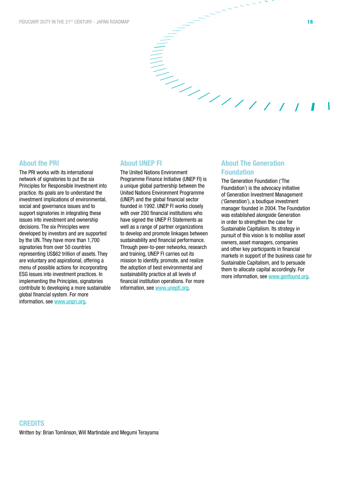The PRI works with its international network of signatories to put the six Principles for Responsible Investment into practice. Its goals are to understand the investment implications of environmental, social and governance issues and to support signatories in integrating these issues into investment and ownership decisions. The six Principles were developed by investors and are supported by the UN. They have more than 1,700 signatories from over 50 countries representing US\$62 trillion of assets. They are voluntary and aspirational, offering a menu of possible actions for incorporating ESG issues into investment practices. In implementing the Principles, signatories contribute to developing a more sustainable global financial system. For more information, see [www.unpri.org.](http://www.unpri.org)

#### About UNEP FI

The United Nations Environment Programme Finance Initiative (UNEP FI) is a unique global partnership between the United Nations Environment Programme (UNEP) and the global financial sector founded in 1992. UNEP FI works closely with over 200 financial institutions who have signed the UNEP FI Statements as well as a range of partner organizations to develop and promote linkages between sustainability and financial performance. Through peer-to-peer networks, research and training, UNEP FI carries out its mission to identify, promote, and realize the adoption of best environmental and sustainability practice at all levels of financial institution operations. For more information, see [www.unepfi.org](http://www.unepfi.org).

#### About The Generation Foundation

 $\begin{aligned} \mathcal{L}_{\mathcal{L}} \end{aligned}$ 

The Generation Foundation ('The Foundation') is the advocacy initiative of Generation Investment Management ('Generation'), a boutique investment manager founded in 2004. The Foundation was established alongside Generation in order to strengthen the case for Sustainable Capitalism. Its strategy in pursuit of this vision is to mobilise asset owners, asset managers, companies and other key participants in financial markets in support of the business case for Sustainable Capitalism, and to persuade them to allocate capital accordingly. For more information, see [www.genfound.org](http://www.genfound.org).